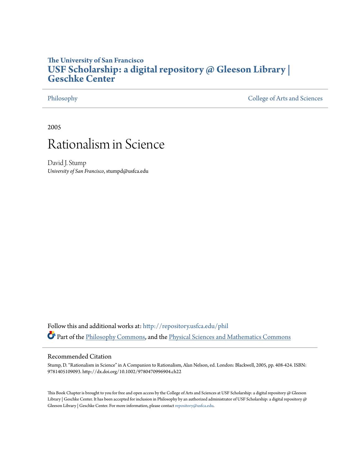### **The University of San Francisco [USF Scholarship: a digital repository @ Gleeson Library |](http://repository.usfca.edu?utm_source=repository.usfca.edu%2Fphil%2F57&utm_medium=PDF&utm_campaign=PDFCoverPages) [Geschke Center](http://repository.usfca.edu?utm_source=repository.usfca.edu%2Fphil%2F57&utm_medium=PDF&utm_campaign=PDFCoverPages)**

[Philosophy](http://repository.usfca.edu/phil?utm_source=repository.usfca.edu%2Fphil%2F57&utm_medium=PDF&utm_campaign=PDFCoverPages) [College of Arts and Sciences](http://repository.usfca.edu/artsci?utm_source=repository.usfca.edu%2Fphil%2F57&utm_medium=PDF&utm_campaign=PDFCoverPages)

2005

# Rationalism in Science

David J. Stump *University of San Francisco*, stumpd@usfca.edu

Follow this and additional works at: [http://repository.usfca.edu/phil](http://repository.usfca.edu/phil?utm_source=repository.usfca.edu%2Fphil%2F57&utm_medium=PDF&utm_campaign=PDFCoverPages) Part of the [Philosophy Commons,](http://network.bepress.com/hgg/discipline/525?utm_source=repository.usfca.edu%2Fphil%2F57&utm_medium=PDF&utm_campaign=PDFCoverPages) and the [Physical Sciences and Mathematics Commons](http://network.bepress.com/hgg/discipline/114?utm_source=repository.usfca.edu%2Fphil%2F57&utm_medium=PDF&utm_campaign=PDFCoverPages)

### Recommended Citation

Stump, D. "Rationalism in Science" in A Companion to Rationalism, Alan Nelson, ed. London: Blackwell, 2005, pp. 408-424. ISBN: 9781405109093. http://dx.doi.org/10.1002/9780470996904.ch22

This Book Chapter is brought to you for free and open access by the College of Arts and Sciences at USF Scholarship: a digital repository @ Gleeson Library | Geschke Center. It has been accepted for inclusion in Philosophy by an authorized administrator of USF Scholarship: a digital repository  $@$ Gleeson Library | Geschke Center. For more information, please contact [repository@usfca.edu](mailto:repository@usfca.edu).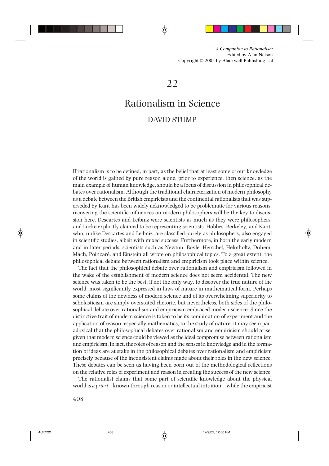## 22

# Rationalism in Science DAVID STIMP

If rationalism is to be defined, in part, as the belief that at least some of our knowledge of the world is gained by pure reason alone, prior to experience, then science, as the main example of human knowledge, should be a focus of discussion in philosophical debates over rationalism. Although the traditional characterization of modern philosophy as a debate between the British empiricists and the continental rationalists that was superseded by Kant has been widely acknowledged to be problematic for various reasons, recovering the scientific influences on modern philosophers will be the key to discussion here. Descartes and Leibniz were scientists as much as they were philosophers, and Locke explicitly claimed to be representing scientists. Hobbes, Berkeley, and Kant, who, unlike Descartes and Leibniz, are classified purely as philosophers, also engaged in scientific studies, albeit with mixed success. Furthermore, in both the early modern and in later periods, scientists such as Newton, Boyle, Herschel, Helmholtz, Duhem, Mach, Poincaré, and Einstein all wrote on philosophical topics. To a great extent, the philosophical debate between rationalism and empiricism took place within science.

The fact that the philosophical debate over rationalism and empiricism followed in the wake of the establishment of modern science does not seem accidental. The new science was taken to be the best, if not the only way, to discover the true nature of the world, most significantly expressed in laws of nature in mathematical form. Perhaps some claims of the newness of modern science and of its overwhelming superiority to scholasticism are simply overstated rhetoric, but nevertheless, both sides of the philosophical debate over rationalism and empiricism embraced modern science. Since the distinctive trait of modern science is taken to be its combination of experiment and the application of reason, especially mathematics, to the study of nature, it may seem paradoxical that the philosophical debates over rationalism and empiricism should arise, given that modern science could be viewed as the ideal compromise between rationalism and empiricism. In fact, the roles of reason and the senses in knowledge and in the formation of ideas are at stake in the philosophical debates over rationalism and empiricism precisely because of the inconsistent claims made about their roles in the new science. These debates can be seen as having been born out of the methodological reflections on the relative roles of experiment and reason in creating the success of the new science.

The rationalist claims that some part of scientific knowledge about the physical world is *a priori* – known through reason or intellectual intuition – while the empiricist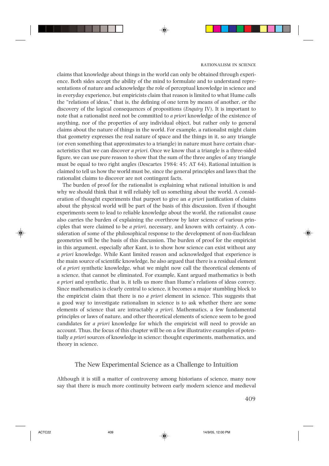claims that knowledge about things in the world can only be obtained through experience. Both sides accept the ability of the mind to formulate and to understand representations of nature and acknowledge the role of perceptual knowledge in science and in everyday experience, but empiricists claim that reason is limited to what Hume calls the "relations of ideas," that is, the defining of one term by means of another, or the discovery of the logical consequences of propositions (*Enquiry* IV). It is important to note that a rationalist need not be committed to *a priori* knowledge of the existence of anything, nor of the properties of any individual object, but rather only to general claims about the nature of things in the world. For example, a rationalist might claim that geometry expresses the real nature of space and the things in it, so any triangle (or even something that approximates to a triangle) in nature must have certain characteristics that we can discover *a priori*. Once we know that a triangle is a three-sided figure, we can use pure reason to show that the sum of the three angles of any triangle must be equal to two right angles (Descartes 1984: 45; AT 64). Rational intuition is claimed to tell us how the world must be, since the general principles and laws that the rationalist claims to discover are not contingent facts.

The burden of proof for the rationalist is explaining what rational intuition is and why we should think that it will reliably tell us something about the world. A consideration of thought experiments that purport to give an *a priori* justification of claims about the physical world will be part of the basis of this discussion. Even if thought experiments seem to lead to reliable knowledge about the world, the rationalist cause also carries the burden of explaining the overthrow by later science of various principles that were claimed to be *a priori*, necessary, and known with certainty. A consideration of some of the philosophical response to the development of non-Euclidean geometries will be the basis of this discussion. The burden of proof for the empiricist in this argument, especially after Kant, is to show how science can exist without any *a priori* knowledge. While Kant limited reason and acknowledged that experience is the main source of scientific knowledge, he also argued that there is a residual element of *a priori* synthetic knowledge, what we might now call the theoretical elements of a science, that cannot be eliminated. For example, Kant argued mathematics is both *a priori* and synthetic, that is, it tells us more than Hume's relations of ideas convey. Since mathematics is clearly central to science, it becomes a major stumbling block to the empiricist claim that there is no *a priori* element in science. This suggests that a good way to investigate rationalism in science is to ask whether there are some elements of science that are intractably *a priori*. Mathematics, a few fundamental principles or laws of nature, and other theoretical elements of science seem to be good candidates for *a priori* knowledge for which the empiricist will need to provide an account. Thus, the focus of this chapter will be on a few illustrative examples of potentially *a priori* sources of knowledge in science: thought experiments, mathematics, and theory in science.

#### The New Experimental Science as a Challenge to Intuition

Although it is still a matter of controversy among historians of science, many now say that there is much more continuity between early modern science and medieval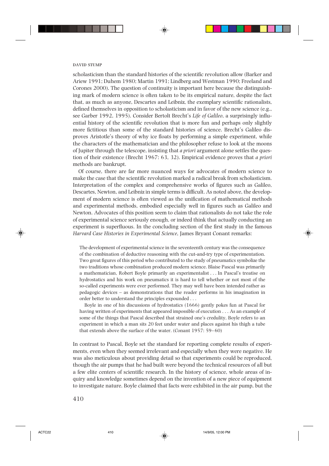scholasticism than the standard histories of the scientific revolution allow (Barker and Ariew 1991; Duhem 1980; Martin 1991; Lindberg and Westman 1990; Freeland and Corones 2000). The question of continuity is important here because the distinguishing mark of modern science is often taken to be its empirical nature, despite the fact that, as much as anyone, Descartes and Leibniz, the exemplary scientific rationalists, defined themselves in opposition to scholasticism and in favor of the new science (e.g., see Garber 1992, 1995). Consider Bertolt Brecht's *Life of Galileo*, a surprisingly influential history of the scientific revolution that is more fun and perhaps only slightly more fictitious than some of the standard histories of science. Brecht's Galileo disproves Aristotle's theory of why ice floats by performing a simple experiment, while the characters of the mathematician and the philosopher refuse to look at the moons of Jupiter through the telescope, insisting that *a priori* argument alone settles the question of their existence (Brecht 1967: 63, 32). Empirical evidence proves that *a priori* methods are bankrupt.

Of course, there are far more nuanced ways for advocates of modern science to make the case that the scientific revolution marked a radical break from scholasticism. Interpretation of the complex and comprehensive works of figures such as Galileo, Descartes, Newton, and Leibniz in simple terms is difficult. As noted above, the development of modern science is often viewed as the unification of mathematical methods and experimental methods, embodied especially well in figures such as Galileo and Newton. Advocates of this position seem to claim that rationalists do not take the role of experimental science seriously enough, or indeed think that actually conducting an experiment is superfluous. In the concluding section of the first study in the famous *Harvard Case Histories in Experimental Science*, James Bryant Conant remarks:

The development of experimental science in the seventeenth century was the consequence of the combination of deductive reasoning with the cut-and-try type of experimentation. Two great figures of this period who contributed to the study of pneumatics symbolize the two traditions whose combination produced modern science. Blaise Pascal was primarily a mathematician, Robert Boyle primarily an experimentalist . . . In Pascal's treatise on hydrostatics and his work on pneumatics it is hard to tell whether or not most of the so-called experiments were ever performed. They may well have been intended rather as pedagogic devices – as demonstrations that the reader performs in his imagination in order better to understand the principles expounded . . .

Boyle in one of his discussions of hydrostatics (1666) gently pokes fun at Pascal for having written of experiments that appeared impossible of execution . . . As an example of some of the things that Pascal described that strained one's credulity, Boyle refers to an experiment in which a man sits 20 feet under water and places against his thigh a tube that extends above the surface of the water. (Conant 1957: 59– 60)

In contrast to Pascal, Boyle set the standard for reporting complete results of experiments, even when they seemed irrelevant and especially when they were negative. He was also meticulous about providing detail so that experiments could be reproduced, though the air pumps that he had built were beyond the technical resources of all but a few elite centers of scientific research. In the history of science, whole areas of inquiry and knowledge sometimes depend on the invention of a new piece of equipment to investigate nature. Boyle claimed that facts were exhibited in the air pump, but the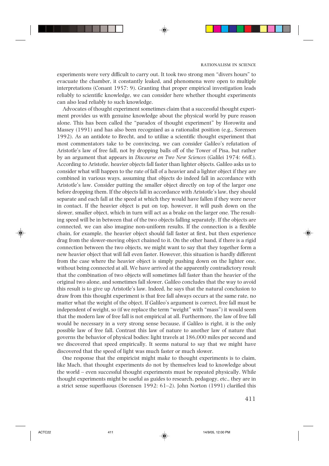experiments were very difficult to carry out. It took two strong men "divers hours" to evacuate the chamber, it constantly leaked, and phenomena were open to multiple interpretations (Conant 1957: 9). Granting that proper empirical investigation leads reliably to scientific knowledge, we can consider here whether thought experiments can also lead reliably to such knowledge.

Advocates of thought experiment sometimes claim that a successful thought experiment provides us with genuine knowledge about the physical world by pure reason alone. This has been called the "paradox of thought experiment" by Horowitz and Massey (1991) and has also been recognized as a rationalist position (e.g., Sorensen 1992). As an antidote to Brecht, and to utilize a scientific thought experiment that most commentators take to be convincing, we can consider Galileo's refutation of Aristotle's law of free fall, not by dropping balls off of the Tower of Pisa, but rather by an argument that appears in *Discourse on Two New Sciences* (Galilei 1974: 66ff.). According to Aristotle, heavier objects fall faster than lighter objects. Galileo asks us to consider what will happen to the rate of fall of a heavier and a lighter object if they are combined in various ways, assuming that objects do indeed fall in accordance with Aristotle's law. Consider putting the smaller object directly on top of the larger one before dropping them. If the objects fall in accordance with Aristotle's law, they should separate and each fall at the speed at which they would have fallen if they were never in contact. If the heavier object is put on top, however, it will push down on the slower, smaller object, which in turn will act as a brake on the larger one. The resulting speed will be in between that of the two objects falling separately. If the objects are connected, we can also imagine non-uniform results. If the connection is a flexible chain, for example, the heavier object should fall faster at first, but then experience drag from the slower-moving object chained to it. On the other hand, if there is a rigid connection between the two objects, we might want to say that they together form a new heavier object that will fall even faster. However, this situation is hardly different from the case where the heavier object is simply pushing down on the lighter one, without being connected at all. We have arrived at the apparently contradictory result that the combination of two objects will sometimes fall faster than the heavier of the original two alone, and sometimes fall slower. Galileo concludes that the way to avoid this result is to give up Aristotle's law. Indeed, he says that the natural conclusion to draw from this thought experiment is that free fall always occurs at the same rate, no matter what the weight of the object. If Galileo's argument is correct, free fall must be independent of weight, so (if we replace the term "weight" with "mass") it would seem that the modern law of free fall is not empirical at all. Furthermore, the law of free fall would be necessary in a very strong sense because, if Galileo is right, it is the only possible law of free fall. Contrast this law of nature to another law of nature that governs the behavior of physical bodies: light travels at 186,000 miles per second and we discovered that speed empirically. It seems natural to say that we might have discovered that the speed of light was much faster or much slower.

One response that the empiricist might make to thought experiments is to claim, like Mach, that thought experiments do not by themselves lead to knowledge about the world – even successful thought experiments must be repeated physically. While thought experiments might be useful as guides to research, pedagogy, etc., they are in a strict sense superfluous (Sorensen 1992: 61–2). John Norton (1991) clarified this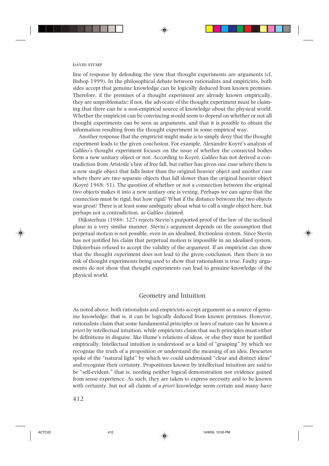line of response by defending the view that thought experiments are arguments (cf. Bishop 1999). In the philosophical debate between rationalists and empiricists, both sides accept that genuine knowledge can be logically deduced from known premises. Therefore, if the premises of a thought experiment are already known empirically, they are unproblematic; if not, the advocate of the thought experiment must be claiming that there can be a non-empirical source of knowledge about the physical world. Whether the empiricist can be convincing would seem to depend on whether or not all thought experiments can be seen as arguments, and that it is possible to obtain the information resulting from the thought experiment in some empirical way.

Another response that the empiricist might make is to simply deny that the thought experiment leads to the given conclusion. For example, Alexandre Koyré's analysis of Galileo's thought experiment focuses on the issue of whether the connected bodies form a new unitary object or not. According to Koyré, Galileo has not derived a contradiction from Aristotle's law of free fall, but rather has given one case where there is a new single object that falls faster than the original heavier object and another case where there are two separate objects that fall slower than the original heavier object (Koyré 1968: 51). The question of whether or not a connection between the original two objects makes it into a new unitary one is vexing. Perhaps we can agree that the connection must be rigid, but how rigid? What if the distance between the two objects was great? There is at least some ambiguity about what to call a single object here, but perhaps not a contradiction, as Galileo claimed.

Dijksterhuis (1986: 327) rejects Stevin's purported proof of the law of the inclined plane in a very similar manner. Stevin's argument depends on the assumption that perpetual motion is not possible, even in an idealized, frictionless system. Since Stevin has not justified his claim that perpetual motion is impossible in an idealized system, Dijksterhuis refused to accept the validity of the argument. If an empiricist can show that the thought experiment does not lead to the given conclusion, then there is no risk of thought experiments being used to show that rationalism is true. Faulty arguments do not show that thought experiments can lead to genuine knowledge of the physical world.

#### Geometry and Intuition

As noted above, both rationalists and empiricists accept argument as a source of genuine knowledge; that is, it can be logically deduced from known premises. However, rationalists claim that some fundamental principles or laws of nature can be known *a priori* by intellectual intuition, while empiricists claim that such principles must either be definitions in disguise, like Hume's relations of ideas, or else they must be justified empirically. Intellectual intuition is understood as a kind of "grasping" by which we recognize the truth of a proposition or understand the meaning of an idea. Descartes spoke of the "natural light" by which we could understand "clear and distinct ideas" and recognize their certainty. Propositions known by intellectual intuition are said to be "self-evident," that is, needing neither logical demonstration nor evidence gained from sense experience. As such, they are taken to express necessity and to be known with certainty, but not all claims of *a priori* knowledge seem certain and many have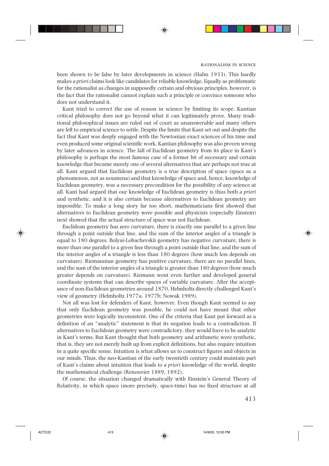been shown to be false by later developments in science (Hahn 1933). This hardly makes *a priori* claims look like candidates for reliable knowledge. Equally as problematic for the rationalist as changes in supposedly certain and obvious principles, however, is the fact that the rationalist cannot explain such a principle or convince someone who does not understand it.

Kant tried to correct the use of reason in science by limiting its scope. Kantian critical philosophy does not go beyond what it can legitimately prove. Many traditional philosophical issues are ruled out of court as unanswerable and many others are left to empirical science to settle. Despite the limits that Kant set out and despite the fact that Kant was deeply engaged with the Newtonian exact sciences of his time and even produced some original scientific work, Kantian philosophy was also proven wrong by later advances in science. The fall of Euclidean geometry from its place in Kant's philosophy is perhaps the most famous case of a former bit of necessary and certain knowledge that became merely one of several alternatives that are perhaps not true at all. Kant argued that Euclidean geometry is a true description of space (space as a phenomenon, not as noumena) and that knowledge of space and, hence, knowledge of Euclidean geometry, was a necessary precondition for the possibility of any science at all. Kant had argued that our knowledge of Euclidean geometry is thus both *a priori* and synthetic, and it is also certain because alternatives to Euclidean geometry are impossible. To make a long story far too short, mathematicians first showed that alternatives to Euclidean geometry were possible and physicists (especially Einstein) next showed that the actual structure of space was not Euclidean.

Euclidean geometry has zero curvature, there is exactly one parallel to a given line through a point outside that line, and the sum of the interior angles of a triangle is equal to 180 degrees. Bolyai-Lobachevskii geometry has negative curvature, there is more than one parallel to a given line through a point outside that line, and the sum of the interior angles of a triangle is less than 180 degrees (how much less depends on curvature). Riemannian geometry has positive curvature, there are no parallel lines, and the sum of the interior angles of a triangle is greater than 180 degrees (how much greater depends on curvature). Riemann went even further and developed general coordinate systems that can describe spaces of variable curvature. After the acceptance of non-Euclidean geometries around 1870, Helmholtz directly challenged Kant's view of geometry (Helmholtz 1977a, 1977b; Nowak 1989).

Not all was lost for defenders of Kant, however. Even though Kant seemed to say that only Euclidean geometry was possible, he could not have meant that other geometries were logically inconsistent. One of the criteria that Kant put forward as a definition of an "analytic" statement is that its negation leads to a contradiction. If alternatives to Euclidean geometry were contradictory, they would have to be analytic in Kant's terms. But Kant thought that both geometry and arithmetic were synthetic, that is, they are not merely built up from explicit definitions, but also require intuition in a quite specific sense. Intuition is what allows us to construct figures and objects in our minds. Thus, the neo-Kantian of the early twentieth century could maintain part of Kant's claims about intuition that leads to *a priori* knowledge of the world, despite the mathematical challenge (Renouvier 1889, 1892).

Of course, the situation changed dramatically with Einstein's General Theory of Relativity, in which space (more precisely, space-time) has no fixed structure at all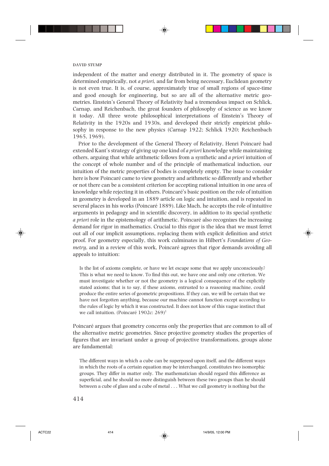independent of the matter and energy distributed in it. The geometry of space is determined empirically, not *a priori*, and far from being necessary, Euclidean geometry is not even true. It is, of course, approximately true of small regions of space-time and good enough for engineering, but so are all of the alternative metric geometries. Einstein's General Theory of Relativity had a tremendous impact on Schlick, Carnap, and Reichenbach, the great founders of philosophy of science as we know it today. All three wrote philosophical interpretations of Einstein's Theory of Relativity in the 1920s and 1930s, and developed their strictly empiricist philosophy in response to the new physics (Carnap 1922; Schlick 1920; Reichenbach 1965, 1969).

Prior to the development of the General Theory of Relativity, Henri Poincaré had extended Kant's strategy of giving up one kind of *a priori* knowledge while maintaining others, arguing that while arithmetic follows from a synthetic and *a priori* intuition of the concept of whole number and of the principle of mathematical induction, our intuition of the metric properties of bodies is completely empty. The issue to consider here is how Poincaré came to view geometry and arithmetic so differently and whether or not there can be a consistent criterion for accepting rational intuition in one area of knowledge while rejecting it in others. Poincaré's basic position on the role of intuition in geometry is developed in an 1889 article on logic and intuition, and is repeated in several places in his works (Poincaré 1889). Like Mach, he accepts the role of intuitive arguments in pedagogy and in scientific discovery, in addition to its special synthetic *a priori* role in the epistemology of arithmetic. Poincaré also recognizes the increasing demand for rigor in mathematics. Crucial to this rigor is the idea that we must ferret out all of our implicit assumptions, replacing them with explicit definition and strict proof. For geometry especially, this work culminates in Hilbert's *Foundations of Geometry*, and in a review of this work, Poincaré agrees that rigor demands avoiding all appeals to intuition:

Is the list of axioms complete, or have we let escape some that we apply unconsciously? This is what we need to know. To find this out, we have one and only one criterion. We must investigate whether or not the geometry is a logical consequence of the explicitly stated axioms; that is to say, if these axioms, entrusted to a reasoning machine, could produce the entire series of geometric propositions. If they can, we will be certain that we have not forgotten anything, because our machine cannot function except according to the rules of logic by which it was constructed. It does not know of this vague instinct that we call intuition. (Poincaré 1902c: 269)<sup>1</sup>

Poincaré argues that geometry concerns only the properties that are common to all of the alternative metric geometries. Since projective geometry studies the properties of figures that are invariant under a group of projective transformations, groups alone are fundamental:

The different ways in which a cube can be superposed upon itself, and the different ways in which the roots of a certain equation may be interchanged, constitutes two isomorphic groups. They differ in matter only. The mathematician should regard this difference as superficial, and he should no more distinguish between these two groups than he should between a cube of glass and a cube of metal . . . What we call geometry is nothing but the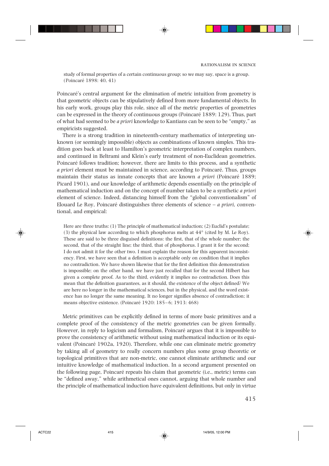study of formal properties of a certain continuous group; so we may say, space is a group. (Poincaré 1898: 40, 41)

Poincaré's central argument for the elimination of metric intuition from geometry is that geometric objects can be stipulatively defined from more fundamental objects. In his early work, groups play this role, since all of the metric properties of geometries can be expressed in the theory of continuous groups (Poincaré 1889: 129). Thus, part of what had seemed to be *a priori* knowledge to Kantians can be seen to be "empty," as empiricists suggested.

There is a strong tradition in nineteenth-century mathematics of interpreting unknown (or seemingly impossible) objects as combinations of known simples. This tradition goes back at least to Hamilton's geometric interpretation of complex numbers, and continued in Beltrami and Klein's early treatment of non-Euclidean geometries. Poincaré follows tradition; however, there are limits to this process, and a synthetic *a priori* element must be maintained in science, according to Poincaré. Thus, groups maintain their status as innate concepts that are known *a priori* (Poincaré 1889; Picard 1901), and our knowledge of arithmetic depends essentially on the principle of mathematical induction and on the concept of number taken to be a synthetic *a priori* element of science. Indeed, distancing himself from the "global conventionalism" of Elouard Le Roy, Poincaré distinguishes three elements of science – *a priori*, conventional, and empirical:

Here are three truths: (1) The principle of mathematical induction; (2) Euclid's postulate; (3) the physical law according to which phosphorus melts at 44° (cited by M. Le Roy). These are said to be three disguised definitions: the first, that of the whole number; the second, that of the straight line; the third, that of phosphorus. I grant it for the second; I do not admit it for the other two. I must explain the reason for this apparent inconsistency. First, we have seen that a definition is acceptable only on condition that it implies no contradiction. We have shown likewise that for the first definition this demonstration is impossible; on the other hand, we have just recalled that for the second Hilbert has given a complete proof. As to the third, evidently it implies no contradiction. Does this mean that the definition guarantees, as it should, the existence of the object defined? We are here no longer in the mathematical sciences, but in the physical, and the word existence has no longer the same meaning. It no longer signifies absence of contradiction; it means objective existence. (Poincaré 1920: 185–6; 1913: 468)

Metric primitives can be explicitly defined in terms of more basic primitives and a complete proof of the consistency of the metric geometries can be given formally. However, in reply to logicism and formalism, Poincaré argues that it is impossible to prove the consistency of arithmetic without using mathematical induction or its equivalent (Poincaré 1902a, 1920). Therefore, while one can eliminate metric geometry by taking all of geometry to really concern numbers plus some group theoretic or topological primitives that are non-metric, one cannot eliminate arithmetic and our intuitive knowledge of mathematical induction. In a second argument presented on the following page, Poincaré repeats his claim that geometric (i.e., metric) terms can be "defined away," while arithmetical ones cannot, arguing that whole number and the principle of mathematical induction have equivalent definitions, but only in virtue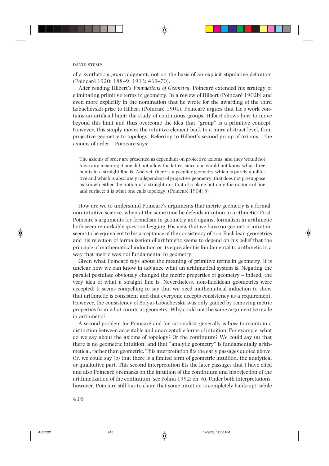of a synthetic *a priori* judgment, not on the basis of an explicit stipulative definition (Poincaré 1920: 188–9; 1913: 469–70).

After reading Hilbert's *Foundations of Geometry*, Poincaré extended his strategy of eliminating primitive terms in geometry. In a review of Hilbert (Poincaré 1902b) and even more explicitly in the nomination that he wrote for the awarding of the third Lobachevskii prize to Hilbert (Poincaré 1904), Poincaré argues that Lie's work contains an artificial limit: the study of continuous groups. Hilbert shows how to move beyond this limit and thus overcome the idea that "group" is a primitive concept. However, this simply moves the intuitive element back to a more abstract level, from projective geometry to topology. Referring to Hilbert's second group of axioms – the axioms of order – Poincaré says:

The axioms of order are presented as dependant on projective axioms, and they would not have any meaning if one did not allow the latter, since one would not know what three points in a straight line is. And yet, there is a peculiar geometry which is purely qualitative and which is absolutely independent of projective geometry, that does not presuppose as known either the notion of a straight nor that of a plane but only the notions of line and surface; it is what one calls topology. (Poincaré 1904: 8)

How are we to understand Poincaré's arguments that metric geometry is a formal, non-intuitive science, when at the same time he defends intuition in arithmetic? First, Poincaré's arguments for formalism in geometry and against formalism in arithmetic both seem remarkably question begging. His view that we have no geometric intuition seems to be equivalent to his acceptance of the consistency of non-Euclidean geometries and his rejection of formalization of arithmetic seems to depend on his belief that the principle of mathematical induction or its equivalent is fundamental to arithmetic in a way that metric was not fundamental to geometry.

Given what Poincaré says about the meaning of primitive terms in geometry, it is unclear how we can know in advance what an arithmetical system is. Negating the parallel postulate obviously changed the metric properties of geometry – indeed, the very idea of what a straight line is. Nevertheless, non-Euclidean geometries were accepted. It seems compelling to say that we need mathematical induction to show that arithmetic is consistent and that everyone accepts consistency as a requirement. However, the consistency of Bolyai-Lobachevskii was only gained by removing metric properties from what counts as geometry. Why could not the same argument be made in arithmetic?

A second problem for Poincaré and for rationalists generally is how to maintain a distinction between acceptable and unacceptable forms of intuition. For example, what do we say about the axioms of topology? Or the continuum? We could say (a) that there is no geometric intuition, and that "analytic geometry" is fundamentally arithmetical, rather than geometric. This interpretation fits the early passages quoted above. Or, we could say (b) that there is a limited form of geometric intuition, the analytical or qualitative part. This second interpretation fits the later passages that I have cited and also Poincaré's remarks on the intuition of the continuum and his rejection of the arithmetization of the continuum (see Folina 1992: ch. 6). Under both interpretations, however, Poincaré still has to claim that some intuition is completely bankrupt, while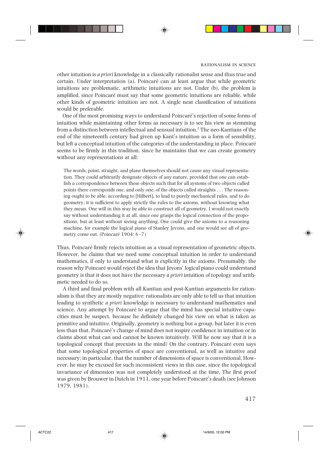other intuition is *a priori* knowledge in a classically rationalist sense and thus true and certain. Under interpretation (a), Poincaré can at least argue that while geometric intuitions are problematic, arithmetic intuitions are not. Under (b), the problem is amplified, since Poincaré must say that some geometric intuitions are reliable, while other kinds of geometric intuition are not. A single neat classification of intuitions would be preferable.

One of the most promising ways to understand Poincaré's rejection of some forms of intuition while maintaining other forms as necessary is to see his view as stemming from a distinction between intellectual and sensual intuition.<sup>2</sup> The neo-Kantians of the end of the nineteenth century had given up Kant's intuition as a form of sensibility, but left a conceptual intuition of the categories of the understanding in place. Poincaré seems to be firmly in this tradition, since he maintains that we can create geometry without any representations at all:

The words, point, straight, and plane themselves should not cause any visual representation. They could arbitrarily designate objects of any nature, provided that one can establish a correspondence between these objects such that for all systems of two objects called points there corresponds one, and only one, of the objects called straights . . . The reasoning ought to be able, according to [Hilbert], to lead to purely mechanical rules, and to do geometry, it is sufficient to apply strictly the rules to the axioms, without knowing what they mean. One will in this way be able to construct all of geometry, I would not exactly say without understanding it at all, since one grasps the logical connection of the propositions, but at least without seeing anything. One could give the axioms to a reasoning machine, for example the logical piano of Stanley Jevons, and one would see all of geometry come out. (Poincaré 1904: 6–7)

Thus, Poincaré firmly rejects intuition as a visual representation of geometric objects. However, he claims that we need some conceptual intuition in order to understand mathematics, if only to understand what is explicitly in the axioms. Presumably, the reason why Poincaré would reject the idea that Jevons' logical piano could understand geometry is that it does not have the necessary *a priori* intuition of topology and arithmetic needed to do so.

A third and final problem with all Kantian and post-Kantian arguments for rationalism is that they are mostly negative: rationalists are only able to tell us that intuition leading to synthetic *a priori* knowledge is necessary to understand mathematics and science. Any attempt by Poincaré to argue that the mind has special intuitive capacities must be suspect, because he definitely changed his view on what is taken as primitive and intuitive. Originally, geometry is nothing but a group, but later it is even less than that. Poincaré's change of mind does not inspire confidence in intuition or in claims about what can and cannot be known intuitively. Will he now say that it is a topological concept that preexists in the mind? On the contrary, Poincaré even says that some topological properties of space are conventional, as well as intuitive and necessary; in particular, that the number of dimensions of space is conventional. However, he may be excused for such inconsistent views in this case, since the topological invariance of dimension was not completely understood at the time. The first proof was given by Brouwer in Dutch in 1911, one year before Poincaré's death (see Johnson 1979, 1981).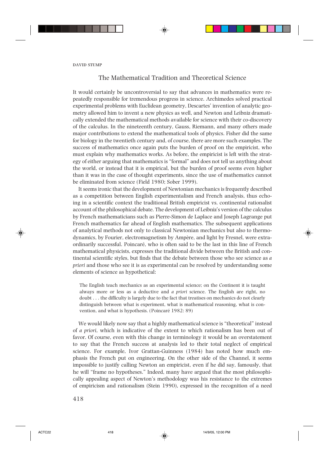### The Mathematical Tradition and Theoretical Science

It would certainly be uncontroversial to say that advances in mathematics were repeatedly responsible for tremendous progress in science. Archimedes solved practical experimental problems with Euclidean geometry, Descartes' invention of analytic geometry allowed him to invent a new physics as well, and Newton and Leibniz dramatically extended the mathematical methods available for science with their co-discovery of the calculus. In the nineteenth century, Gauss, Riemann, and many others made major contributions to extend the mathematical tools of physics. Fisher did the same for biology in the twentieth century and, of course, there are more such examples. The success of mathematics once again puts the burden of proof on the empiricist, who must explain why mathematics works. As before, the empiricist is left with the strategy of either arguing that mathematics is "formal" and does not tell us anything about the world, or instead that it is empirical, but the burden of proof seems even higher than it was in the case of thought experiments, since the use of mathematics cannot be eliminated from science (Field 1980; Sober 1999).

It seems ironic that the development of Newtonian mechanics is frequently described as a competition between English experimentalism and French analysis, thus echoing in a scientific context the traditional British empiricist vs. continental rationalist account of the philosophical debate. The development of Leibniz's version of the calculus by French mathematicians such as Pierre-Simon de Laplace and Joseph Lagrange put French mathematics far ahead of English mathematics. The subsequent applications of analytical methods not only to classical Newtonian mechanics but also to thermodynamics, by Fourier, electromagnetism by Ampère, and light by Fresnel, were extraordinarily successful. Poincaré, who is often said to be the last in this line of French mathematical physicists, expresses the traditional divide between the British and continental scientific styles, but finds that the debate between those who see science as *a priori* and those who see it is as experimental can be resolved by understanding some elements of science as hypothetical:

The English teach mechanics as an experimental science; on the Continent it is taught always more or less as a deductive and *a priori* science. The English are right, no doubt . . . the difficulty is largely due to the fact that treatises on mechanics do not clearly distinguish between what is experiment, what is mathematical reasoning, what is convention, and what is hypothesis. (Poincaré 1982: 89)

We would likely now say that a highly mathematical science is "theoretical" instead of *a priori*, which is indicative of the extent to which rationalism has been out of favor. Of course, even with this change in terminology it would be an overstatement to say that the French success at analysis led to their total neglect of empirical science. For example, Ivor Grattan-Guinness (1984) has noted how much emphasis the French put on engineering. On the other side of the Channel, it seems impossible to justify calling Newton an empiricist, even if he did say, famously, that he will "frame no hypotheses." Indeed, many have argued that the most philosophically appealing aspect of Newton's methodology was his resistance to the extremes of empiricism and rationalism (Stein 1990), expressed in the recognition of a need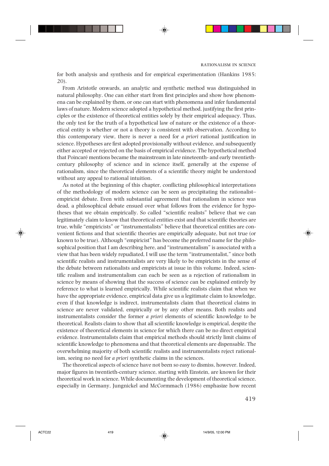for both analysis and synthesis and for empirical experimentation (Hankins 1985: 20).

From Aristotle onwards, an analytic and synthetic method was distinguished in natural philosophy. One can either start from first principles and show how phenomena can be explained by them, or one can start with phenomena and infer fundamental laws of nature. Modern science adopted a hypothetical method, justifying the first principles or the existence of theoretical entities solely by their empirical adequacy. Thus, the only test for the truth of a hypothetical law of nature or the existence of a theoretical entity is whether or not a theory is consistent with observation. According to this contemporary view, there is never a need for *a priori* rational justification in science. Hypotheses are first adopted provisionally without evidence, and subsequently either accepted or rejected on the basis of empirical evidence. The hypothetical method that Poincaré mentions became the mainstream in late nineteenth- and early twentiethcentury philosophy of science and in science itself, generally at the expense of rationalism, since the theoretical elements of a scientific theory might be understood without any appeal to rational intuition.

As noted at the beginning of this chapter, conflicting philosophical interpretations of the methodology of modern science can be seen as precipitating the rationalist– empiricist debate. Even with substantial agreement that rationalism in science was dead, a philosophical debate ensued over what follows from the evidence for hypotheses that we obtain empirically. So called "scientific realists" believe that we can legitimately claim to know that theoretical entities exist and that scientific theories are true, while "empiricists" or "instrumentalists" believe that theoretical entities are convenient fictions and that scientific theories are empirically adequate, but not true (or known to be true). Although "empiricist" has become the preferred name for the philosophical position that I am describing here, and "instrumentalism" is associated with a view that has been widely repudiated, I will use the term "instrumentalist," since both scientific realists and instrumentalists are very likely to be empiricists in the sense of the debate between rationalists and empiricists at issue in this volume. Indeed, scientific realism and instrumentalism can each be seen as a rejection of rationalism in science by means of showing that the success of science can be explained entirely by reference to what is learned empirically. While scientific realists claim that when we have the appropriate evidence, empirical data give us a legitimate claim to knowledge, even if that knowledge is indirect, instrumentalists claim that theoretical claims in science are never validated, empirically or by any other means. Both realists and instrumentalists consider the former *a priori* elements of scientific knowledge to be theoretical. Realists claim to show that all scientific knowledge is empirical, despite the existence of theoretical elements in science for which there can be no direct empirical evidence. Instrumentalists claim that empirical methods should strictly limit claims of scientific knowledge to phenomena and that theoretical elements are dispensable. The overwhelming majority of both scientific realists and instrumentalists reject rationalism, seeing no need for *a priori* synthetic claims in the sciences.

The theoretical aspects of science have not been so easy to dismiss, however. Indeed, major figures in twentieth-century science, starting with Einstein, are known for their theoretical work in science. While documenting the development of theoretical science, especially in Germany, Jungnickel and McCormmach (1986) emphasize how recent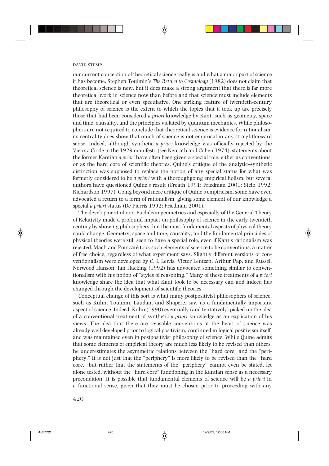our current conception of theoretical science really is and what a major part of science it has become. Stephen Toulmin's *The Return to Cosmology* (1982) does not claim that theoretical science is new, but it does make a strong argument that there is far more theoretical work in science now than before and that science must include elements that are theoretical or even speculative. One striking feature of twentieth-century philosophy of science is the extent to which the topics that it took up are precisely those that had been considered *a priori* knowledge by Kant, such as geometry, space and time, causality, and the principles violated by quantum mechanics. While philosophers are not required to conclude that theoretical science is evidence for rationalism, its centrality does show that much of science is not empirical in any straightforward sense. Indeed, although synthetic *a priori* knowledge was officially rejected by the Vienna Circle in the 1929 manifesto (see Neurath and Cohen 1974), statements about the former Kantian *a priori* have often been given a special role, either as conventions, or as the hard core of scientific theories. Quine's critique of the analytic–synthetic distinction was supposed to replace the notion of any special status for what was formerly considered to be *a priori* with a thoroughgoing empirical holism, but several authors have questioned Quine's result (Creath 1991; Friedman 2001; Stein 1992; Richardson 1997). Going beyond mere critique of Quine's empiricism, some have even advocated a return to a form of rationalism, giving some element of our knowledge a special *a priori* status (De Pierris 1992; Friedman 2001).

The development of non-Euclidean geometries and especially of the General Theory of Relativity made a profound impact on philosophy of science in the early twentieth century by showing philosophers that the most fundamental aspects of physical theory could change. Geometry, space and time, causality, and the fundamental principles of physical theories were still seen to have a special role, even if Kant's rationalism was rejected. Mach and Poincaré took such elements of science to be conventions, a matter of free choice, regardless of what experiment says. Slightly different versions of conventionalism were developed by C. I. Lewis, Victor Lentzen, Arthur Pap, and Russell Norwood Hanson. Ian Hacking (1992) has advocated something similar to conventionalism with his notion of "styles of reasoning." Many of these treatments of *a priori* knowledge share the idea that what Kant took to be necessary can and indeed has changed through the development of scientific theories.

Conceptual change of this sort is what many postpositivist philosophers of science, such as Kuhn, Toulmin, Laudan, and Shapere, saw as a fundamentally important aspect of science. Indeed, Kuhn (1990) eventually (and tentatively) picked up the idea of a conventional treatment of synthetic *a priori* knowledge as an explication of his views. The idea that there are revisable conventions at the heart of science was already well developed prior to logical positivism, continued in logical positivism itself, and was maintained even in postpositivist philosophy of science. While Quine admits that some elements of empirical theory are much less likely to be revised than others, he underestimates the asymmetric relations between the "hard core" and the "periphery." It is not just that the "periphery" is more likely to be revised than the "hard core," but rather that the statements of the "periphery" cannot even be stated, let alone tested, without the "hard core" functioning in the Kantian sense as a necessary precondition. It is possible that fundamental elements of science will be *a priori* in a functional sense, given that they must be chosen prior to proceeding with any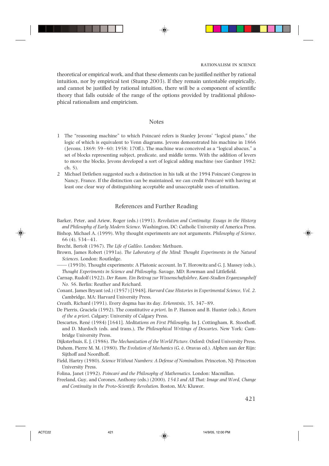theoretical or empirical work, and that these elements can be justified neither by rational intuition, nor by empirical test (Stump 2003). If they remain untestable empirically, and cannot be justified by rational intuition, there will be a component of scientific theory that falls outside of the range of the options provided by traditional philosophical rationalism and empiricism.

#### Notes

- 1 The "reasoning machine" to which Poincaré refers is Stanley Jevons' "logical piano," the logic of which is equivalent to Venn diagrams. Jevons demonstrated his machine in 1866 ( Jevons, 1869: 59– 60; 1958: 170ff.). The machine was conceived as a "logical abacus," a set of blocks representing subject, predicate, and middle terms. With the addition of levers to move the blocks, Jevons developed a sort of logical adding machine (see Gardner 1982: ch. 5).
- 2 Michael Detlefsen suggested such a distinction in his talk at the 1994 Poincaré Congress in Nancy, France. If the distinction can be maintained, we can credit Poincaré with having at least one clear way of distinguishing acceptable and unacceptable uses of intuition.

#### References and Further Reading

- Barker, Peter, and Ariew, Roger (eds.) (1991). *Revolution and Continuity: Essays in the History and Philosophy of Early Modern Science*. Washington, DC: Catholic University of America Press.
- Bishop, Michael A. (1999). Why thought experiments are not arguments. *Philosophy of Science*, 66 (4), 534– 41.
- Brecht, Bertolt (1967). *The Life of Galileo*. London: Methuen.
- Brown, James Robert (1991a). *The Laboratory of the Mind: Thought Experiments in the Natural Sciences*. London: Routledge.
- —— (1991b). Thought experiments: A Platonic account. In T. Horowitz and G. J. Massey (eds.), *Thought Experiments in Science and Philosophy*. Savage, MD: Rowman and Littlefield.
- Carnap, Rudolf (1922). *Der Raum. Ein Beitrag zur Wissenschaftslehre*, *Kant-Studien Erganzungshelf No. 56*. Berlin: Reuther and Reichard.
- Conant, James Bryant (ed.) (1957) [1948]. *Harvard Case Histories in Experimental Science, Vol. 2*. Cambridge, MA: Harvard University Press.
- Creath, Richard (1991). Every dogma has its day. *Erkenntnis*, 35, 347–89.
- De Pierris, Graciela (1992). The constitutive *a priori*. In P. Hanson and B. Hunter (eds.), *Return of the a priori*. Calgary: University of Calgary Press.
- Descartes, René (1984) [1641]. *Meditations on First Philosophy*. In J. Cottingham, R. Stoothoff, and D. Murdoch (eds. and trans.), *The Philosophical Writings of Descartes*. New York: Cambridge University Press.
- Dijksterhuis, E. J. (1986). *The Mechanization of the World Picture*. Oxford: Oxford University Press.
- Duhem, Pierre M. M. (1980). *The Evolution of Mechanics* (G. é. Oravas ed.). Alphen aan der Rijn: Sijthoff and Noordhoff.
- Field, Hartry (1980). *Science Without Numbers: A Defense of Nominalism*. Princeton, NJ: Princeton University Press.
- Folina, Janet (1992). *Poincaré and the Philosophy of Mathematics*. London: Macmillan.
- Freeland, Guy, and Corones, Anthony (eds.) (2000). *1543 and All That: Image and Word, Change and Continuity in the Proto-Scientific Revolution*. Boston, MA: Kluwer.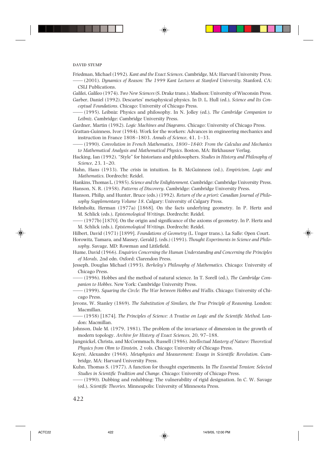Friedman, Michael (1992). *Kant and the Exact Sciences*. Cambridge, MA: Harvard University Press. —— (2001). *Dynamics of Reason: The 1999 Kant Lectures at Stanford University*. Stanford, CA: CSLI Publications.

Galilei, Galileo (1974). *Two New Sciences* (S. Drake trans.). Madison: University of Wisconsin Press.

Garber, Daniel (1992). Descartes' metaphysical physics. In D. L. Hull (ed.), *Science and Its Conceptual Foundations*. Chicago: University of Chicago Press.

—— (1995). Leibniz: Physics and philosophy. In N. Jolley (ed.), *The Cambridge Companion to Leibniz*. Cambridge: Cambridge University Press.

Gardner, Martin (1982). *Logic Machines and Diagrams*. Chicago: University of Chicago Press.

- Grattan-Guinness, Ivor (1984). Work for the workers: Advances in engineering mechanics and instruction in France 1808–1803. *Annals of Science*, 41, 1–33.
- —— (1990). *Convolution in French Mathematics, 1800 –1840: From the Calculus and Mechanics to Mathematical Analysis and Mathematical Physics*. Boston, MA: Birkhauser Verlag.
- Hacking, Ian (1992). "Style" for historians and philosophers. *Studies in History and Philosophy of Science*, 23, 1–20.
- Hahn, Hans (1933). The crisis in intuition. In B. McGuinness (ed.), *Empiricism, Logic and Mathematics*. Dordrecht: Reidel.

Hankins, Thomas L. (1985). *Science and the Enlightenment*. Cambridge: Cambridge University Press. Hanson, N. R. (1958). *Patterns of Discovery*. Cambridge: Cambridge University Press.

- Hanson, Philip, and Hunter, Bruce (eds.) (1992). *Return of the a priori: Canadian Journal of Philosophy Supplementary Volume 18*. Calgary: University of Calgary Press.
- Helmholtz, Herman (1977a) [1868]. On the facts underlying geometry. In P. Hertz and M. Schlick (eds.), *Epistemological Writings*. Dordrecht: Reidel.
- $-(1977b)$  [1870]. On the origin and significance of the axioms of geometry. In P. Hertz and M. Schlick (eds.), *Epistemological Writings*. Dordrecht: Reidel.
- Hilbert, David (1971) [1899]. *Foundations of Geometry* (L. Unger trans.). La Salle: Open Court.
- Horowitz, Tamara, and Massey, Gerald J. (eds.) (1991). *Thought Experiments in Science and Philosophy*. Savage, MD: Rowman and Littlefield.
- Hume, David (1966). *Enquiries Concerning the Human Understanding and Concerning the Principles of Morals*, 2nd edn. Oxford: Clarendon Press.
- Jesseph, Douglas Michael (1993). *Berkeley's Philosophy of Mathematics*. Chicago: University of Chicago Press.
- —— (1996). Hobbes and the method of natural science. In T. Sorell (ed.), *The Cambridge Companion to Hobbes*. New York: Cambridge University Press.
- —— (1999). *Squaring the Circle: The War between Hobbes and Wallis*. Chicago: University of Chicago Press.
- Jevons, W. Stanley (1869). *The Substitution of Similars, the True Principle of Reasoning*. London: Macmillan.
- —— (1958) [1874]. *The Principles of Science: A Treatise on Logic and the Scientific Method*. London: Macmillan.
- Johnson, Dale M. (1979, 1981). The problem of the invariance of dimension in the growth of modern topology. *Archive for History of Exact Sciences*, 20, 97–188.
- Jungnickel, Christa, and McCormmach, Russell (1986). *Intellectual Mastery of Nature: Theoretical Physics from Ohm to Einstein*, 2 vols. Chicago: University of Chicago Press.
- Koyré, Alexandre (1968). *Metaphysics and Measurement: Essays in Scientific Revolution*. Cambridge, MA: Harvard University Press.
- Kuhn, Thomas S. (1977). A function for thought experiments. In *The Essential Tension: Selected Studies in Scientific Tradition and Change*. Chicago: University of Chicago Press.
- $-$  (1990). Dubbing and redubbing: The vulnerability of rigid designation. In C. W. Savage (ed.), *Scientific Theories*. Minneapolis: University of Minnesota Press.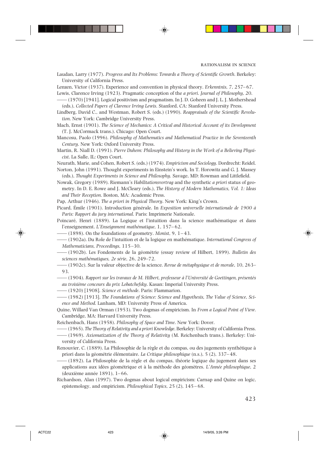- Laudan, Larry (1977). *Progress and Its Problems: Towards a Theory of Scientific Growth*. Berkeley: University of California Press.
- Lenzen, Victor (1937). Experience and convention in physical theory. *Erkenntnis*, 7, 257– 67. Lewis, Clarence Irving (1923). Pragmatic conception of the *a priori*. *Journal of Philosophy*, 20.
- —— (1970) [1941]. Logical positivism and pragmatism. In J. D. Goheen and J. L. J. Mothershead (eds.), *Collected Papers of Clarence Irving Lewis*. Stanford, CA: Stanford University Press.
- Lindberg, David C., and Westman, Robert S. (eds.) (1990). *Reappraisals of the Scientific Revolution*. New York: Cambridge University Press.
- Mach, Ernst (1901). *The Science of Mechanics: A Critical and Historical Account of its Development* (T. J. McCormack trans.). Chicago: Open Court.
- Mancosu, Paolo (1996). *Philosophy of Mathematics and Mathematical Practice in the Seventeenth Century*. New York: Oxford University Press.
- Martin, R. Niall D. (1991). *Pierre Duhem: Philosophy and History in the Work of a Believing Physicist*. La Salle, IL: Open Court.
- Neurath, Marie, and Cohen, Robert S. (eds.) (1974). *Empiricism and Sociology*. Dordrecht: Reidel.
- Norton, John (1991). Thought experiments in Einstein's work. In T. Horowitz and G. J. Massey (eds.), *Thought Experiments in Science and Philosophy*. Savage, MD: Rowman and Littlefield.

Nowak, Gregory (1989). Riemann's *Habilitationsvortrag* and the synthetic *a priori* status of geometry. In D. E. Rowe and J. McCleary (eds.), *The History of Modern Mathematics, Vol. 1: Ideas and Their Reception*. Boston, MA: Academic Press.

Pap, Arthur (1946). *The a priori in Physical Theory*. New York: King's Crown.

- Picard, Émile (1901). Introduction générale. In *Exposition universelle internationale de 1900 à Paris: Rapport du jury international*. Paris: Imprimerie Nationale.
- Poincaré, Henri (1889). La Logique et l'intuition dans la science mathématique et dans l'enseignement. *L'Enseignment mathématique*, 1, 157– 62.
- —— (1898). On the foundations of geometry. *Monist*, 9, 1– 43.
- —— (1902a). Du Role de l'intuition et de la logique en mathématique. *International Congress of Mathematicians, Proceedings*, 115 –30.
- —— (1902b). Les Fondements de la géométrie (essay review of Hilbert, 1899). *Bulletin des sciences mathématiques, 2e série*, 26, 249–72.
- —— (1902c). Sur la valeur objective de la science. *Revue de métaphysique et de morale*, 10, 263– 93.
- —— (1904). *Rapport sur les travaux de M. Hilbert, professeur à l'Université de Goettingen, présentés au troisième concours du prix Lobatchefsky*. Kasan: Imperial University Press.
- —— (1920) [1908]. *Science et méthode*. Paris: Flammarion.
- —— (1982) [1913]. *The Foundations of Science: Science and Hypothesis, The Value of Science, Science and Method*. Lanham, MD: University Press of America.
- Quine, Willard Van Orman (1953). Two dogmas of empiricism. In *From a Logical Point of View*. Cambridge, MA: Harvard University Press.
- Reichenbach, Hans (1958). *Philosophy of Space and Time*. New York: Dover.

—— (1965). *The Theory of Relativity and a priori Knowledge*. Berkeley: University of California Press.

—— (1969). *Axiomatization of the Theory of Relativity* (M. Reichenbach trans.). Berkeley: University of California Press.

Renouvier, C. (1889). La Philosophie de la règle et du compas, ou des jugements synthétique à priori dans la géométrie élémentaire. *La Critique philosophique* (n.s.), 5 (2), 337– 48.

—— (1892). La Philosophie de la règle et du compas, théorie logique du jugement dans ses applications aux idées géométrique et à la méthode des géomètres. *L'Année philosophique*, 2 (deuxième année 1891), 1– 66.

Richardson, Alan (1997). Two dogmas about logical empiricism: Carnap and Quine on logic, epistemology, and empiricism. *Philosophical Topics*, 25 (2), 145 – 68.